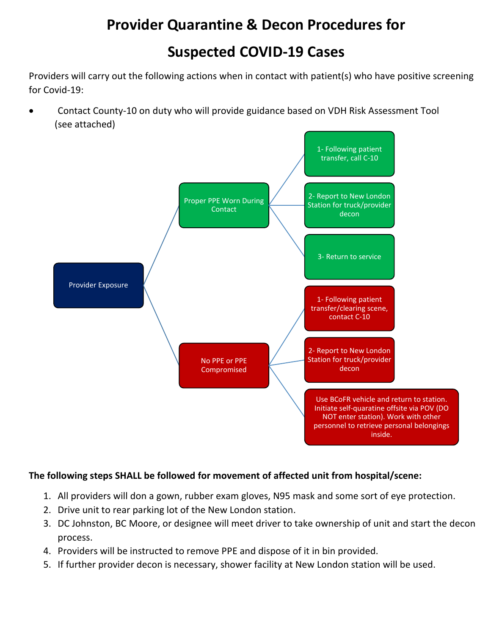## **Provider Quarantine & Decon Procedures for**

## **Suspected COVID-19 Cases**

Providers will carry out the following actions when in contact with patient(s) who have positive screening for Covid-19:

 Contact County-10 on duty who will provide guidance based on VDH Risk Assessment Tool (see attached)



## **The following steps SHALL be followed for movement of affected unit from hospital/scene:**

- 1. All providers will don a gown, rubber exam gloves, N95 mask and some sort of eye protection.
- 2. Drive unit to rear parking lot of the New London station.
- 3. DC Johnston, BC Moore, or designee will meet driver to take ownership of unit and start the decon process.
- 4. Providers will be instructed to remove PPE and dispose of it in bin provided.
- 5. If further provider decon is necessary, shower facility at New London station will be used.